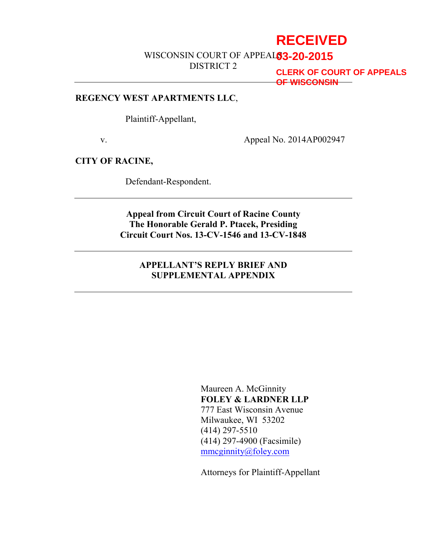# **RECEIVED**

WISCONSIN COURT OF APPEALS **03-20-2015**

DISTRICT 2

**CLERK OF COURT OF APPEALS OF WISCONSIN**

#### **REGENCY WEST APARTMENTS LLC**,

Plaintiff-Appellant,

v. Appeal No. 2014AP002947

**CITY OF RACINE,**

Defendant-Respondent.

## **Appeal from Circuit Court of Racine County The Honorable Gerald P. Ptacek, Presiding Circuit Court Nos. 13-CV-1546 and 13-CV-1848**

## **APPELLANT'S REPLY BRIEF AND SUPPLEMENTAL APPENDIX**

Maureen A. McGinnity **FOLEY & LARDNER LLP** 777 East Wisconsin Avenue Milwaukee, WI 53202 (414) 297-5510 (414) 297-4900 (Facsimile) mmcginnity@foley.com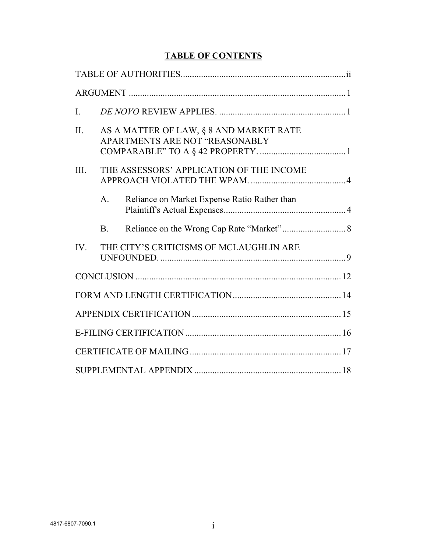# **TABLE OF CONTENTS**

| $\mathbf{I}$ . |              |                                                                           |  |
|----------------|--------------|---------------------------------------------------------------------------|--|
| II.            |              | AS A MATTER OF LAW, § 8 AND MARKET RATE<br>APARTMENTS ARE NOT "REASONABLY |  |
| III.           |              | THE ASSESSORS' APPLICATION OF THE INCOME                                  |  |
|                | $A_{\cdot}$  | Reliance on Market Expense Ratio Rather than                              |  |
|                | $\mathbf{B}$ |                                                                           |  |
| IV.            |              | THE CITY'S CRITICISMS OF MCLAUGHLIN ARE                                   |  |
|                |              |                                                                           |  |
|                |              |                                                                           |  |
|                |              |                                                                           |  |
|                |              |                                                                           |  |
|                |              |                                                                           |  |
|                |              |                                                                           |  |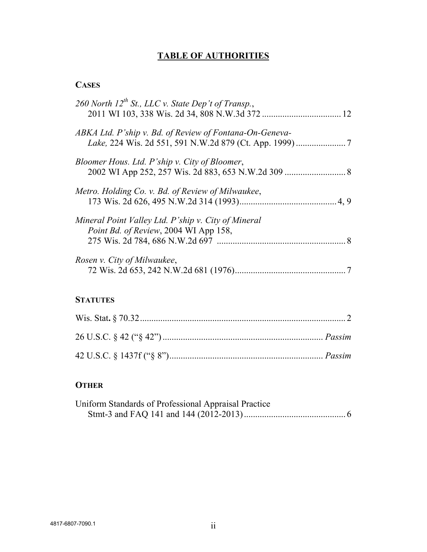# **TABLE OF AUTHORITIES**

# **CASES**

| 260 North $12^{th}$ St., LLC v. State Dep't of Transp.,                                      |  |
|----------------------------------------------------------------------------------------------|--|
| ABKA Ltd. P'ship v. Bd. of Review of Fontana-On-Geneva-                                      |  |
| Bloomer Hous. Ltd. P'ship v. City of Bloomer,                                                |  |
| Metro. Holding Co. v. Bd. of Review of Milwaukee,                                            |  |
| Mineral Point Valley Ltd. P'ship v. City of Mineral<br>Point Bd. of Review, 2004 WI App 158, |  |
| Rosen v. City of Milwaukee,                                                                  |  |
| <b>STATUTES</b>                                                                              |  |
| Wis. Stat. 8.70.32                                                                           |  |

# **OTHER**

| Uniform Standards of Professional Appraisal Practice |  |  |
|------------------------------------------------------|--|--|
|                                                      |  |  |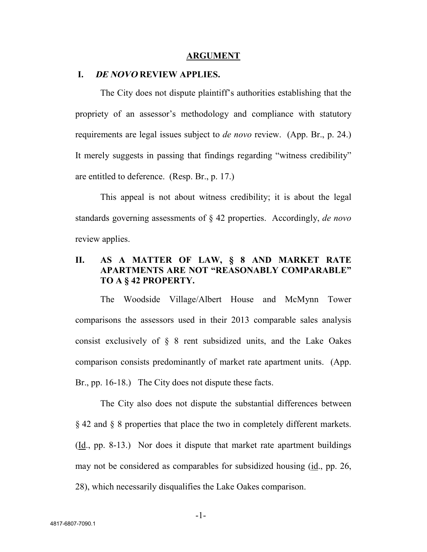#### **ARGUMENT**

#### **I. DE NOVO REVIEW APPLIES.**

The City does not dispute plaintiff's authorities establishing that the propriety of an assessor's methodology and compliance with statutory requirements are legal issues subject to *de novo* review. (App. Br., p. 24.) It merely suggests in passing that findings regarding "witness credibility" are entitled to deference. (Resp. Br., p. 17.)

This appeal is not about witness credibility; it is about the legal standards governing assessments of § 42 properties. Accordingly, *de novo* review applies.

## **II. AS A MATTER OF LAW, § 8 AND MARKET RATE APARTMENTS ARE NOT "REASONABLY COMPARABLE" TO A § 42 PROPERTY.**

The Woodside Village/Albert House and McMynn Tower comparisons the assessors used in their 2013 comparable sales analysis consist exclusively of § 8 rent subsidized units, and the Lake Oakes comparison consists predominantly of market rate apartment units. (App. Br., pp. 16-18.) The City does not dispute these facts.

The City also does not dispute the substantial differences between § 42 and § 8 properties that place the two in completely different markets. (Id., pp. 8-13.) Nor does it dispute that market rate apartment buildings may not be considered as comparables for subsidized housing (id., pp. 26, 28), which necessarily disqualifies the Lake Oakes comparison.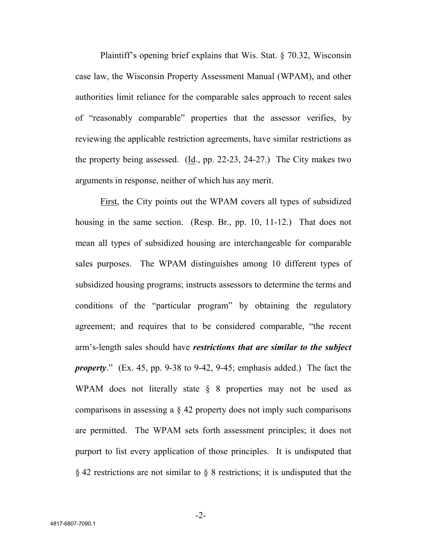Plaintiff's opening brief explains that Wis. Stat. § 70.32, Wisconsin case law, the Wisconsin Property Assessment Manual (WPAM), and other authorities limit reliance for the comparable sales approach to recent sales of "reasonably comparable" properties that the assessor verifies, by reviewing the applicable restriction agreements, have similar restrictions as the property being assessed. (Id., pp. 22-23, 24-27.) The City makes two arguments in response, neither of which has any merit.

First, the City points out the WPAM covers all types of subsidized housing in the same section. (Resp. Br., pp. 10, 11-12.) That does not mean all types of subsidized housing are interchangeable for comparable sales purposes. The WPAM distinguishes among 10 different types of subsidized housing programs; instructs assessors to determine the terms and conditions of the "particular program" by obtaining the regulatory agreement; and requires that to be considered comparable, "the recent arm's-length sales should have *restrictions that are similar to the subject property*." (Ex. 45, pp. 9-38 to 9-42, 9-45; emphasis added.) The fact the WPAM does not literally state § 8 properties may not be used as comparisons in assessing a § 42 property does not imply such comparisons are permitted. The WPAM sets forth assessment principles; it does not purport to list every application of those principles. It is undisputed that § 42 restrictions are not similar to § 8 restrictions; it is undisputed that the

-2-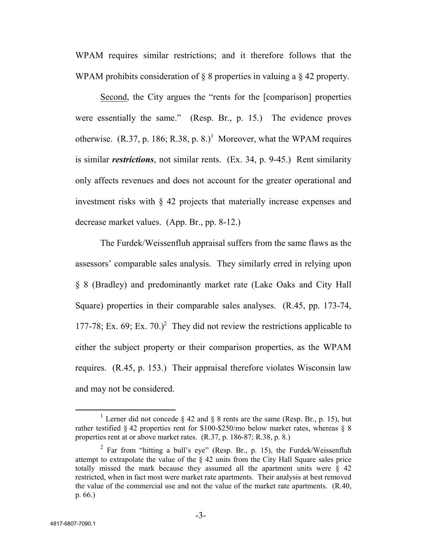WPAM requires similar restrictions; and it therefore follows that the WPAM prohibits consideration of  $\S$  8 properties in valuing a  $\S$  42 property.

Second, the City argues the "rents for the [comparison] properties were essentially the same." (Resp. Br., p. 15.) The evidence proves otherwise.  $(R.37, p. 186; R.38, p. 8.)$ <sup>1</sup> Moreover, what the WPAM requires is similar *restrictions*, not similar rents. (Ex. 34, p. 9-45.) Rent similarity only affects revenues and does not account for the greater operational and investment risks with § 42 projects that materially increase expenses and decrease market values. (App. Br., pp. 8-12.)

The Furdek/Weissenfluh appraisal suffers from the same flaws as the assessors' comparable sales analysis. They similarly erred in relying upon § 8 (Bradley) and predominantly market rate (Lake Oaks and City Hall Square) properties in their comparable sales analyses. (R.45, pp. 173-74, 177-78; Ex. 69; Ex. 70.)<sup>2</sup> They did not review the restrictions applicable to either the subject property or their comparison properties, as the WPAM requires. (R.45, p. 153.) Their appraisal therefore violates Wisconsin law and may not be considered.

<sup>&</sup>lt;sup>1</sup> Lerner did not concede § 42 and § 8 rents are the same (Resp. Br., p. 15), but rather testified § 42 properties rent for \$100-\$250/mo below market rates, whereas § 8 properties rent at or above market rates. (R.37, p. 186-87; R.38, p. 8.)

<sup>&</sup>lt;sup>2</sup> Far from "hitting a bull's eye" (Resp. Br., p. 15), the Furdek/Weissenfluh attempt to extrapolate the value of the  $\S$  42 units from the City Hall Square sales price totally missed the mark because they assumed all the apartment units were  $\bar{\S}$  42 restricted, when in fact most were market rate apartments. Their analysis at best removed the value of the commercial use and not the value of the market rate apartments. (R.40, p. 66.)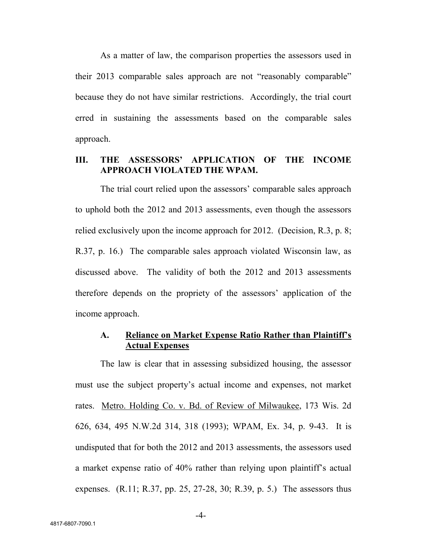As a matter of law, the comparison properties the assessors used in their 2013 comparable sales approach are not "reasonably comparable" because they do not have similar restrictions. Accordingly, the trial court erred in sustaining the assessments based on the comparable sales approach.

#### **III. THE ASSESSORS' APPLICATION OF THE INCOME APPROACH VIOLATED THE WPAM.**

The trial court relied upon the assessors' comparable sales approach to uphold both the 2012 and 2013 assessments, even though the assessors relied exclusively upon the income approach for 2012. (Decision, R.3, p. 8; R.37, p. 16.) The comparable sales approach violated Wisconsin law, as discussed above. The validity of both the 2012 and 2013 assessments therefore depends on the propriety of the assessors' application of the income approach.

#### **A. Reliance on Market Expense Ratio Rather than Plaintiff's Actual Expenses**

The law is clear that in assessing subsidized housing, the assessor must use the subject property's actual income and expenses, not market rates. Metro. Holding Co. v. Bd. of Review of Milwaukee, 173 Wis. 2d 626, 634, 495 N.W.2d 314, 318 (1993); WPAM, Ex. 34, p. 9-43. It is undisputed that for both the 2012 and 2013 assessments, the assessors used a market expense ratio of 40% rather than relying upon plaintiff's actual expenses.  $(R.11; R.37, pp. 25, 27-28, 30; R.39, p. 5.)$  The assessors thus

-4-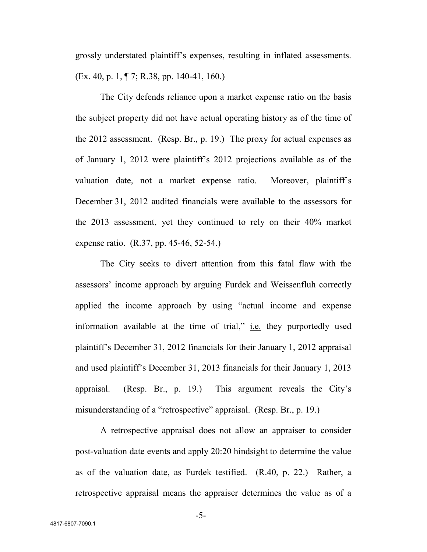grossly understated plaintiff's expenses, resulting in inflated assessments. (Ex. 40, p. 1, ¶ 7; R.38, pp. 140-41, 160.)

The City defends reliance upon a market expense ratio on the basis the subject property did not have actual operating history as of the time of the 2012 assessment. (Resp. Br., p. 19.) The proxy for actual expenses as of January 1, 2012 were plaintiff's 2012 projections available as of the valuation date, not a market expense ratio. Moreover, plaintiff's December 31, 2012 audited financials were available to the assessors for the 2013 assessment, yet they continued to rely on their 40% market expense ratio. (R.37, pp. 45-46, 52-54.)

The City seeks to divert attention from this fatal flaw with the assessors' income approach by arguing Furdek and Weissenfluh correctly applied the income approach by using "actual income and expense information available at the time of trial," i.e. they purportedly used plaintiff's December 31, 2012 financials for their January 1, 2012 appraisal and used plaintiff's December 31, 2013 financials for their January 1, 2013 appraisal. (Resp. Br., p. 19.) This argument reveals the City's misunderstanding of a "retrospective" appraisal. (Resp. Br., p. 19.)

A retrospective appraisal does not allow an appraiser to consider post-valuation date events and apply 20:20 hindsight to determine the value as of the valuation date, as Furdek testified. (R.40, p. 22.) Rather, a retrospective appraisal means the appraiser determines the value as of a

-5-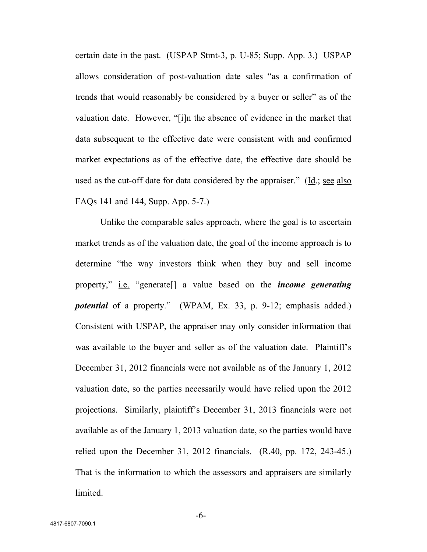certain date in the past. (USPAP Stmt-3, p. U-85; Supp. App. 3.) USPAP allows consideration of post-valuation date sales "as a confirmation of trends that would reasonably be considered by a buyer or seller" as of the valuation date. However, "[i]n the absence of evidence in the market that data subsequent to the effective date were consistent with and confirmed market expectations as of the effective date, the effective date should be used as the cut-off date for data considered by the appraiser." (Id.; see also FAQs 141 and 144, Supp. App. 5-7.)

Unlike the comparable sales approach, where the goal is to ascertain market trends as of the valuation date, the goal of the income approach is to determine "the way investors think when they buy and sell income property," i.e. "generate[] a value based on the *income generating potential* of a property." (WPAM, Ex. 33, p. 9-12; emphasis added.) Consistent with USPAP, the appraiser may only consider information that was available to the buyer and seller as of the valuation date. Plaintiff's December 31, 2012 financials were not available as of the January 1, 2012 valuation date, so the parties necessarily would have relied upon the 2012 projections. Similarly, plaintiff's December 31, 2013 financials were not available as of the January 1, 2013 valuation date, so the parties would have relied upon the December 31, 2012 financials. (R.40, pp. 172, 243-45.) That is the information to which the assessors and appraisers are similarly limited.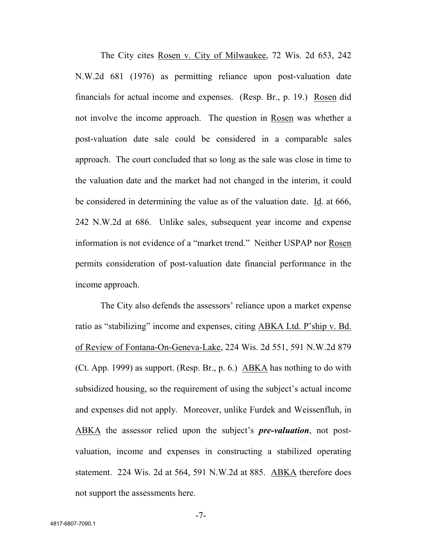The City cites Rosen v. City of Milwaukee, 72 Wis. 2d 653, 242 N.W.2d 681 (1976) as permitting reliance upon post-valuation date financials for actual income and expenses. (Resp. Br., p. 19.) Rosen did not involve the income approach. The question in Rosen was whether a post-valuation date sale could be considered in a comparable sales approach. The court concluded that so long as the sale was close in time to the valuation date and the market had not changed in the interim, it could be considered in determining the value as of the valuation date. Id. at 666, 242 N.W.2d at 686. Unlike sales, subsequent year income and expense information is not evidence of a "market trend." Neither USPAP nor Rosen permits consideration of post-valuation date financial performance in the income approach.

The City also defends the assessors' reliance upon a market expense ratio as "stabilizing" income and expenses, citing ABKA Ltd. P'ship v. Bd. of Review of Fontana-On-Geneva-Lake, 224 Wis. 2d 551, 591 N.W.2d 879 (Ct. App. 1999) as support. (Resp. Br., p. 6.) ABKA has nothing to do with subsidized housing, so the requirement of using the subject's actual income and expenses did not apply. Moreover, unlike Furdek and Weissenfluh, in ABKA the assessor relied upon the subject's *pre-valuation*, not postvaluation, income and expenses in constructing a stabilized operating statement. 224 Wis. 2d at 564, 591 N.W.2d at 885. ABKA therefore does not support the assessments here.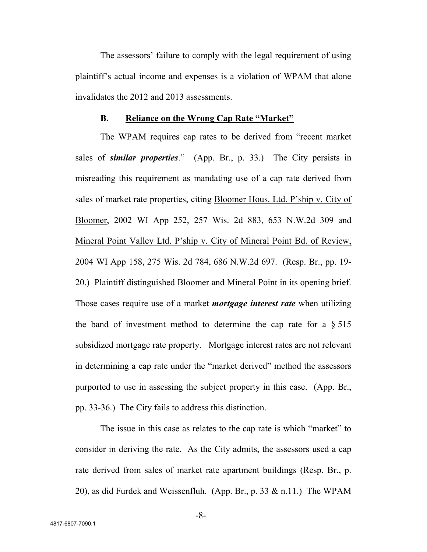The assessors' failure to comply with the legal requirement of using plaintiff's actual income and expenses is a violation of WPAM that alone invalidates the 2012 and 2013 assessments.

#### **B. Reliance on the Wrong Cap Rate "Market"**

The WPAM requires cap rates to be derived from "recent market sales of *similar properties*." (App. Br., p. 33.) The City persists in misreading this requirement as mandating use of a cap rate derived from sales of market rate properties, citing Bloomer Hous. Ltd. P'ship v. City of Bloomer, 2002 WI App 252, 257 Wis. 2d 883, 653 N.W.2d 309 and Mineral Point Valley Ltd. P'ship v. City of Mineral Point Bd. of Review, 2004 WI App 158, 275 Wis. 2d 784, 686 N.W.2d 697. (Resp. Br., pp. 19- 20.) Plaintiff distinguished Bloomer and Mineral Point in its opening brief. Those cases require use of a market *mortgage interest rate* when utilizing the band of investment method to determine the cap rate for a § 515 subsidized mortgage rate property. Mortgage interest rates are not relevant in determining a cap rate under the "market derived" method the assessors purported to use in assessing the subject property in this case. (App. Br., pp. 33-36.) The City fails to address this distinction.

The issue in this case as relates to the cap rate is which "market" to consider in deriving the rate. As the City admits, the assessors used a cap rate derived from sales of market rate apartment buildings (Resp. Br., p. 20), as did Furdek and Weissenfluh. (App. Br., p. 33  $\&$  n.11.) The WPAM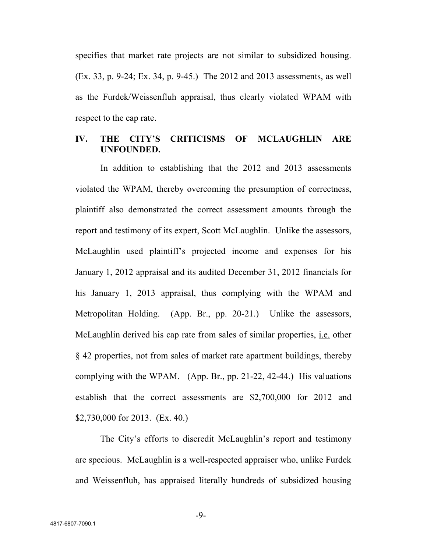specifies that market rate projects are not similar to subsidized housing. (Ex. 33, p. 9-24; Ex. 34, p. 9-45.) The 2012 and 2013 assessments, as well as the Furdek/Weissenfluh appraisal, thus clearly violated WPAM with respect to the cap rate.

#### **IV. THE CITY'S CRITICISMS OF MCLAUGHLIN ARE UNFOUNDED.**

In addition to establishing that the 2012 and 2013 assessments violated the WPAM, thereby overcoming the presumption of correctness, plaintiff also demonstrated the correct assessment amounts through the report and testimony of its expert, Scott McLaughlin. Unlike the assessors, McLaughlin used plaintiff's projected income and expenses for his January 1, 2012 appraisal and its audited December 31, 2012 financials for his January 1, 2013 appraisal, thus complying with the WPAM and Metropolitan Holding. (App. Br., pp. 20-21.) Unlike the assessors, McLaughlin derived his cap rate from sales of similar properties, i.e. other § 42 properties, not from sales of market rate apartment buildings, thereby complying with the WPAM. (App. Br., pp. 21-22, 42-44.) His valuations establish that the correct assessments are \$2,700,000 for 2012 and \$2,730,000 for 2013. (Ex. 40.)

The City's efforts to discredit McLaughlin's report and testimony are specious. McLaughlin is a well-respected appraiser who, unlike Furdek and Weissenfluh, has appraised literally hundreds of subsidized housing

-9-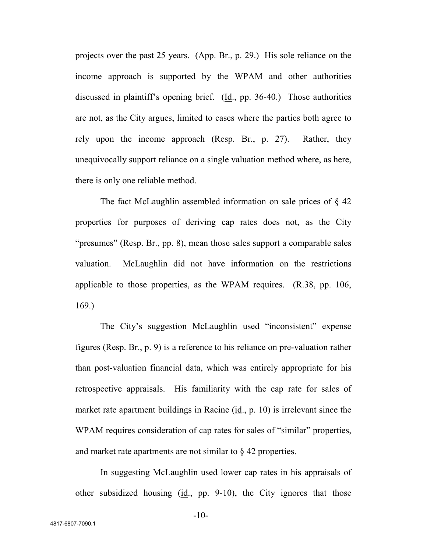projects over the past 25 years. (App. Br., p. 29.) His sole reliance on the income approach is supported by the WPAM and other authorities discussed in plaintiff's opening brief. (Id., pp. 36-40.) Those authorities are not, as the City argues, limited to cases where the parties both agree to rely upon the income approach (Resp. Br., p. 27). Rather, they unequivocally support reliance on a single valuation method where, as here, there is only one reliable method.

The fact McLaughlin assembled information on sale prices of  $\S$  42 properties for purposes of deriving cap rates does not, as the City "presumes" (Resp. Br., pp. 8), mean those sales support a comparable sales valuation. McLaughlin did not have information on the restrictions applicable to those properties, as the WPAM requires. (R.38, pp. 106, 169.)

The City's suggestion McLaughlin used "inconsistent" expense figures (Resp. Br., p. 9) is a reference to his reliance on pre-valuation rather than post-valuation financial data, which was entirely appropriate for his retrospective appraisals. His familiarity with the cap rate for sales of market rate apartment buildings in Racine (id., p. 10) is irrelevant since the WPAM requires consideration of cap rates for sales of "similar" properties, and market rate apartments are not similar to § 42 properties.

In suggesting McLaughlin used lower cap rates in his appraisals of other subsidized housing (id., pp. 9-10), the City ignores that those

-10-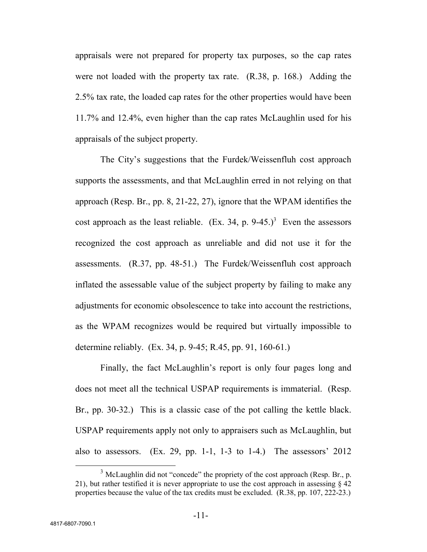appraisals were not prepared for property tax purposes, so the cap rates were not loaded with the property tax rate. (R.38, p. 168.) Adding the 2.5% tax rate, the loaded cap rates for the other properties would have been 11.7% and 12.4%, even higher than the cap rates McLaughlin used for his appraisals of the subject property.

The City's suggestions that the Furdek/Weissenfluh cost approach supports the assessments, and that McLaughlin erred in not relying on that approach (Resp. Br., pp. 8, 21-22, 27), ignore that the WPAM identifies the cost approach as the least reliable. (Ex. 34, p.  $9-45.$ )<sup>3</sup> Even the assessors recognized the cost approach as unreliable and did not use it for the assessments. (R.37, pp. 48-51.) The Furdek/Weissenfluh cost approach inflated the assessable value of the subject property by failing to make any adjustments for economic obsolescence to take into account the restrictions, as the WPAM recognizes would be required but virtually impossible to determine reliably. (Ex. 34, p. 9-45; R.45, pp. 91, 160-61.)

Finally, the fact McLaughlin's report is only four pages long and does not meet all the technical USPAP requirements is immaterial. (Resp. Br., pp. 30-32.) This is a classic case of the pot calling the kettle black. USPAP requirements apply not only to appraisers such as McLaughlin, but also to assessors. (Ex. 29, pp. 1-1, 1-3 to 1-4.) The assessors' 2012

 $3$  McLaughlin did not "concede" the propriety of the cost approach (Resp. Br., p. 21), but rather testified it is never appropriate to use the cost approach in assessing  $\S$  42 properties because the value of the tax credits must be excluded. (R.38, pp. 107, 222-23.)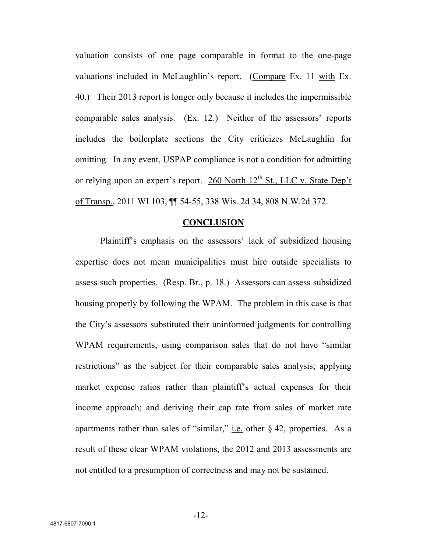valuation consists of one page comparable in format to the one-page valuations included in McLaughlin's report. (Compare Ex. 11 with Ex. 40.) Their 2013 report is longer only because it includes the impermissible comparable sales analysis. (Ex. 12.) Neither of the assessors' reports includes the boilerplate sections the City criticizes McLaughlin for omitting. In any event, USPAP compliance is not a condition for admitting or relying upon an expert's report.  $260$  North  $12^{th}$  St., LLC v. State Dep't of Transp., 2011 WI 103, ¶¶ 54-55, 338 Wis. 2d 34, 808 N.W.2d 372.

#### **CONCLUSION**

Plaintiff's emphasis on the assessors' lack of subsidized housing expertise does not mean municipalities must hire outside specialists to assess such properties. (Resp. Br., p. 18.) Assessors can assess subsidized housing properly by following the WPAM. The problem in this case is that the City's assessors substituted their uninformed judgments for controlling WPAM requirements, using comparison sales that do not have "similar restrictions" as the subject for their comparable sales analysis; applying market expense ratios rather than plaintiff's actual expenses for their income approach; and deriving their cap rate from sales of market rate apartments rather than sales of "similar," i.e. other § 42, properties. As a result of these clear WPAM violations, the 2012 and 2013 assessments are not entitled to a presumption of correctness and may not be sustained.

-12-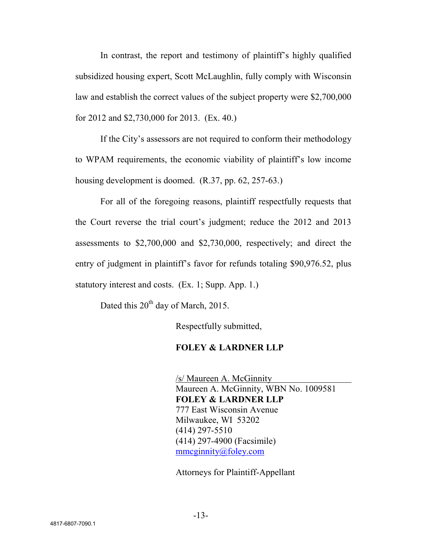In contrast, the report and testimony of plaintiff's highly qualified subsidized housing expert, Scott McLaughlin, fully comply with Wisconsin law and establish the correct values of the subject property were \$2,700,000 for 2012 and \$2,730,000 for 2013. (Ex. 40.)

If the City's assessors are not required to conform their methodology to WPAM requirements, the economic viability of plaintiff's low income housing development is doomed. (R.37, pp. 62, 257-63.)

For all of the foregoing reasons, plaintiff respectfully requests that the Court reverse the trial court's judgment; reduce the 2012 and 2013 assessments to \$2,700,000 and \$2,730,000, respectively; and direct the entry of judgment in plaintiff's favor for refunds totaling \$90,976.52, plus statutory interest and costs. (Ex. 1; Supp. App. 1.)

Dated this  $20^{th}$  day of March, 2015.

Respectfully submitted,

#### **FOLEY & LARDNER LLP**

/s/ Maureen A. McGinnity Maureen A. McGinnity, WBN No. 1009581 **FOLEY & LARDNER LLP** 777 East Wisconsin Avenue Milwaukee, WI 53202 (414) 297-5510 (414) 297-4900 (Facsimile) mmcginnity@foley.com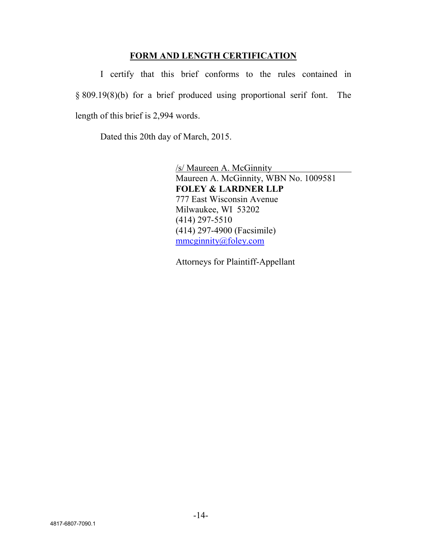#### **FORM AND LENGTH CERTIFICATION**

I certify that this brief conforms to the rules contained in § 809.19(8)(b) for a brief produced using proportional serif font. The length of this brief is 2,994 words.

Dated this 20th day of March, 2015.

/s/ Maureen A. McGinnity Maureen A. McGinnity, WBN No. 1009581 **FOLEY & LARDNER LLP** 777 East Wisconsin Avenue Milwaukee, WI 53202 (414) 297-5510 (414) 297-4900 (Facsimile) mmcginnity@foley.com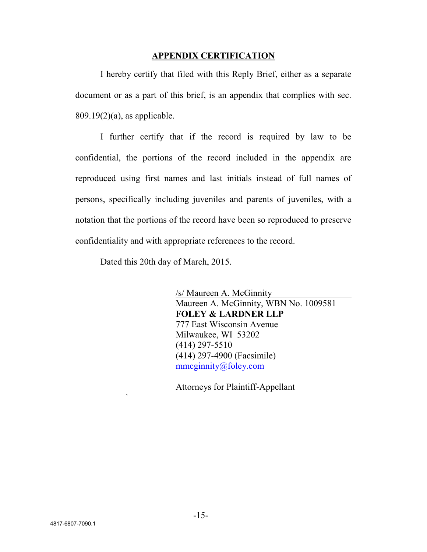#### **APPENDIX CERTIFICATION**

I hereby certify that filed with this Reply Brief, either as a separate document or as a part of this brief, is an appendix that complies with sec. 809.19(2)(a), as applicable.

I further certify that if the record is required by law to be confidential, the portions of the record included in the appendix are reproduced using first names and last initials instead of full names of persons, specifically including juveniles and parents of juveniles, with a notation that the portions of the record have been so reproduced to preserve confidentiality and with appropriate references to the record.

Dated this 20th day of March, 2015.

`

/s/ Maureen A. McGinnity Maureen A. McGinnity, WBN No. 1009581 **FOLEY & LARDNER LLP** 777 East Wisconsin Avenue Milwaukee, WI 53202 (414) 297-5510 (414) 297-4900 (Facsimile) mmcginnity@foley.com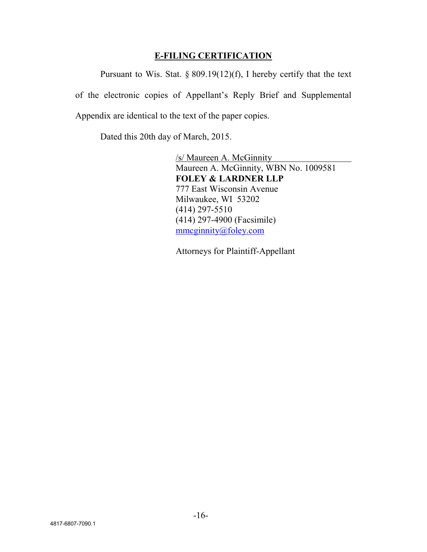## **E-FILING CERTIFICATION**

Pursuant to Wis. Stat.  $\S 809.19(12)(f)$ , I hereby certify that the text

of the electronic copies of Appellant's Reply Brief and Supplemental Appendix are identical to the text of the paper copies.

Dated this 20th day of March, 2015.

/s/ Maureen A. McGinnity Maureen A. McGinnity, WBN No. 1009581 **FOLEY & LARDNER LLP** 777 East Wisconsin Avenue Milwaukee, WI 53202 (414) 297-5510 (414) 297-4900 (Facsimile) mmcginnity@foley.com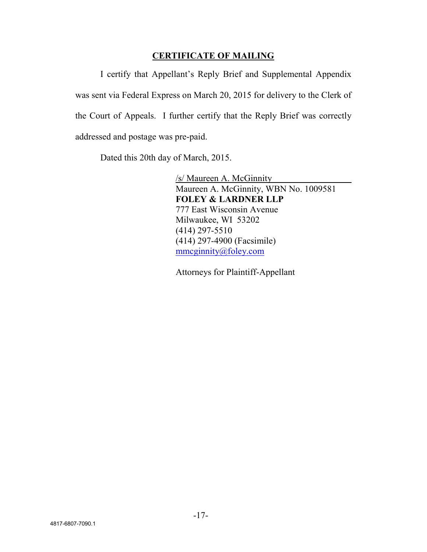## **CERTIFICATE OF MAILING**

I certify that Appellant's Reply Brief and Supplemental Appendix was sent via Federal Express on March 20, 2015 for delivery to the Clerk of the Court of Appeals. I further certify that the Reply Brief was correctly addressed and postage was pre-paid.

Dated this 20th day of March, 2015.

/s/ Maureen A. McGinnity Maureen A. McGinnity, WBN No. 1009581 **FOLEY & LARDNER LLP** 777 East Wisconsin Avenue Milwaukee, WI 53202 (414) 297-5510 (414) 297-4900 (Facsimile) mmcginnity@foley.com